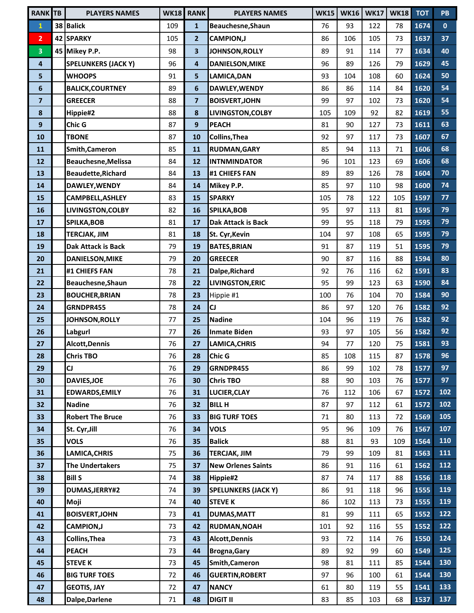| <b>RANK</b> TB          |    | <b>PLAYERS NAMES</b>                | <b>WK18</b> | <b>RANK</b>             | <b>PLAYERS NAMES</b>                   | <b>WK15</b> | <b>WK16</b> | <b>WK17</b> | <b>WK18</b> | <b>TOT</b>   | PB           |
|-------------------------|----|-------------------------------------|-------------|-------------------------|----------------------------------------|-------------|-------------|-------------|-------------|--------------|--------------|
| $\mathbf{1}$            |    | 38 Balick                           | 109         | $\mathbf{1}$            | Beauchesne, Shaun                      | 76          | 93          | 122         | 78          | 1674         | $\mathbf{0}$ |
| $\overline{2}$          | 42 | <b>SPARKY</b>                       | 105         | $\overline{2}$          | <b>CAMPION,J</b>                       | 86          | 106         | 105         | 73          | 1637         | 37           |
| 3                       |    | 45 Mikey P.P.                       | 98          | 3                       | JOHNSON, ROLLY                         | 89          | 91          | 114         | 77          | 1634         | 40           |
| $\overline{\mathbf{4}}$ |    | <b>SPELUNKERS (JACK Y)</b>          | 96          | $\overline{\mathbf{4}}$ | <b>DANIELSON, MIKE</b>                 | 96          | 89          | 126         | 79          | 1629         | 45           |
| 5                       |    | <b>WHOOPS</b>                       | 91          | 5                       | LAMICA, DAN                            | 93          | 104         | 108         | 60          | 1624         | 50           |
| $\boldsymbol{6}$        |    | <b>BALICK, COURTNEY</b>             | 89          | 6                       | DAWLEY, WENDY                          | 86          | 86          | 114         | 84          | 1620         | 54           |
| $\overline{\mathbf{z}}$ |    | <b>GREECER</b>                      | 88          | $\overline{7}$          | <b>BOISVERT, JOHN</b>                  | 99          | 97          | 102         | 73          | 1620         | 54           |
| $\pmb{8}$               |    | Hippie#2                            | 88          | 8                       | LIVINGSTON, COLBY                      | 105         | 109         | 92          | 82          | 1619         | 55           |
| $\boldsymbol{9}$        |    | Chic G                              | 87          | 9                       | <b>PEACH</b>                           | 81          | 90          | 127         | 73          | 1611         | 63           |
| 10                      |    | <b>TBONE</b>                        | 87          | 10                      | Collins, Thea                          | 92          | 97          | 117         | 73          | 1607         | 67           |
| 11                      |    | Smith, Cameron                      | 85          | 11                      | <b>RUDMAN, GARY</b>                    | 85          | 94          | 113         | 71          | 1606         | 68           |
| 12                      |    | <b>Beauchesne, Melissa</b>          | 84          | 12                      | <b>INTNMINDATOR</b>                    | 96          | 101         | 123         | 69          | 1606         | 68           |
| 13                      |    | <b>Beaudette, Richard</b>           | 84          | 13                      | #1 CHIEFS FAN                          | 89          | 89          | 126         | 78          | 1604         | 70           |
| 14                      |    | DAWLEY, WENDY                       | 84          | 14                      | Mikey P.P.                             | 85          | 97          | 110         | 98          | 1600         | 74           |
| 15                      |    | CAMPBELL, ASHLEY                    | 83          | 15                      | <b>SPARKY</b>                          | 105         | 78          | 122         | 105         | 1597         | 77           |
| 16                      |    | <b>LIVINGSTON, COLBY</b>            | 82          | 16                      | SPILKA, BOB                            | 95          | 97          | 113         | 81          | 1595         | 79           |
| 17                      |    | SPILKA, BOB                         | 81          | 17                      | <b>Dak Attack is Back</b>              | 99          | 95          | 118         | 79          | 1595         | 79           |
| 18                      |    | <b>TERCJAK, JIM</b>                 | 81          | 18                      | St. Cyr, Kevin                         | 104         | 97          | 108         | 65          | 1595         | 79           |
| 19                      |    | <b>Dak Attack is Back</b>           | 79          | 19                      | <b>BATES, BRIAN</b>                    | 91          | 87          | 119         | 51          | 1595         | 79           |
| 20                      |    | <b>DANIELSON, MIKE</b>              | 79          | 20                      | <b>GREECER</b>                         | 90          | 87          | 116         | 88          | 1594         | 80           |
| 21                      |    | #1 CHIEFS FAN                       | 78          | 21                      | Dalpe, Richard                         | 92          | 76          | 116         | 62          | 1591         | 83           |
| 22                      |    | <b>Beauchesne, Shaun</b>            | 78          | 22                      | <b>LIVINGSTON, ERIC</b>                | 95          | 99          | 123         | 63          | 1590         | 84           |
| 23                      |    | <b>BOUCHER, BRIAN</b>               | 78          | 23                      | Hippie #1                              | 100         | 76          | 104         | 70          | 1584         | 90           |
| 24                      |    | GRNDPR455                           | 78          | 24                      | <b>CJ</b>                              | 86          | 97          | 120         | 76          | 1582         | 92           |
| 25                      |    | <b>JOHNSON, ROLLY</b>               | 77          | 25                      | <b>Nadine</b>                          | 104         | 96          | 119         | 76          | 1582         | 92           |
| 26                      |    | Labgurl                             | 77          | 26                      | <b>Inmate Biden</b>                    | 93          | 97          | 105         | 56          | 1582         | 92           |
| 27                      |    | <b>Alcott, Dennis</b>               | 76          | 27                      | LAMICA, CHRIS                          | 94          | 77          | 120         | 75          | 1581         | 93           |
| 28                      |    | Chris TBO                           | 76          | 28                      | Chic G                                 | 85          | 108         | 115         | 87          | 1578         | 96           |
| 29                      |    | CJ                                  | 76          | 29                      | GRNDPR455                              | 86          | 99          | 102         | 78          | 1577         | 97           |
| 30                      |    | <b>DAVIES, JOE</b>                  | 76          | 30                      | <b>Chris TBO</b>                       | 88          | 90          | 103         | 76          | 1577         | 97           |
| 31                      |    | <b>EDWARDS, EMILY</b>               | 76          | 31                      | LUCIER, CLAY                           | 76          | 112         | 106         | 67          | 1572         | 102          |
| 32                      |    | <b>Nadine</b>                       | 76          | 32                      | <b>BILL H</b>                          | 87          | 97          | 112         | 61          | 1572         | 102          |
| 33                      |    | <b>Robert The Bruce</b>             | 76          | 33                      | <b>BIG TURF TOES</b>                   | 71          | 80          | 113         | 72          | 1569         | 105          |
| 34                      |    | St. Cyr, Jill                       | 76          | 34                      | <b>VOLS</b>                            | 95          | 96          | 109         | 76          | 1567         | 107          |
| 35                      |    | <b>VOLS</b>                         | 76          | 35                      | <b>Balick</b>                          | 88          | 81          | 93          | 109         | 1564         | 110<br>111   |
| 36                      |    | LAMICA, CHRIS                       | 75          | 36                      | <b>TERCJAK, JIM</b>                    | 79          | 99          | 109         | 81          | 1563         | 112          |
| 37                      |    | <b>The Undertakers</b>              | 75          | 37                      | <b>New Orlenes Saints</b>              | 86          | 91          | 116         | 61          | 1562         | 118          |
| 38<br>39                |    | <b>Bill S</b><br>DUMAS, JERRY#2     | 74<br>74    | 38<br>39                | Hippie#2<br><b>SPELUNKERS (JACK Y)</b> | 87<br>86    | 74<br>91    | 117<br>118  | 88<br>96    | 1556<br>1555 | 119          |
|                         |    |                                     |             | 40                      |                                        |             |             |             |             |              | 119          |
| 40                      |    | Moji                                | 74          |                         | <b>STEVE K</b>                         | 86          | 102         | 113         | 73          | 1555         | 122          |
| 41<br>42                |    | <b>BOISVERT, JOHN</b><br>CAMPION, J | 73<br>73    | 41<br>42                | <b>DUMAS, MATT</b><br>RUDMAN, NOAH     | 81<br>101   | 99<br>92    | 111<br>116  | 65<br>55    | 1552<br>1552 | 122          |
| 43                      |    | <b>Collins, Thea</b>                | 73          | 43                      | <b>Alcott, Dennis</b>                  | 93          | 72          | 114         | 76          | 1550         | 124          |
| 44                      |    | <b>PEACH</b>                        | 73          | 44                      | <b>Brogna, Gary</b>                    | 89          | 92          | 99          | 60          | 1549         | 125          |
| 45                      |    | <b>STEVE K</b>                      | 73          | 45                      | Smith, Cameron                         | 98          | 81          | 111         | 85          | 1544         | 130          |
| 46                      |    | <b>BIG TURF TOES</b>                | 72          | 46                      | <b>GUERTIN, ROBERT</b>                 | 97          | 96          | 100         | 61          | 1544         | 130          |
| 47                      |    | <b>GEOTIS, JAY</b>                  | 72          | 47                      | <b>NANCY</b>                           | 61          | 80          | 119         | 55          | 1541         | 133          |
| 48                      |    | Dalpe, Darlene                      | 71          | 48                      | <b>DIGIT II</b>                        | 83          | 85          | 103         | 68          | 1537         | 137          |
|                         |    |                                     |             |                         |                                        |             |             |             |             |              |              |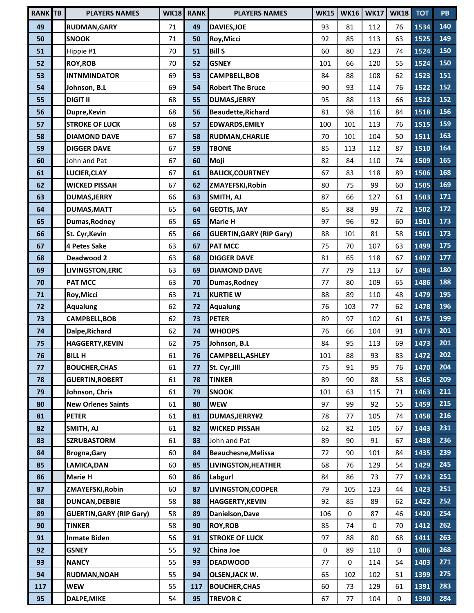| <b>RANK</b> TB | <b>PLAYERS NAMES</b>            |    | WK18 RANK | <b>PLAYERS NAMES</b>            | <b>WK15</b> | <b>WK16</b> | <b>WK17</b> | <b>WK18</b> | <b>TOT</b> | PB  |
|----------------|---------------------------------|----|-----------|---------------------------------|-------------|-------------|-------------|-------------|------------|-----|
| 49             | RUDMAN, GARY                    | 71 | 49        | <b>DAVIES, JOE</b>              | 93          | 81          | 112         | 76          | 1534       | 140 |
| 50             | <b>SNOOK</b>                    | 71 | 50        | Roy, Micci                      | 92          | 85          | 113         | 63          | 1525       | 149 |
| 51             | Hippie #1                       | 70 | 51        | <b>Bill S</b>                   | 60          | 80          | 123         | 74          | 1524       | 150 |
| 52             | <b>ROY, ROB</b>                 | 70 | 52        | <b>GSNEY</b>                    | 101         | 66          | 120         | 55          | 1524       | 150 |
| 53             | <b>INTNMINDATOR</b>             | 69 | 53        | <b>CAMPBELL, BOB</b>            | 84          | 88          | 108         | 62          | 1523       | 151 |
| 54             | Johnson, B.L                    | 69 | 54        | <b>Robert The Bruce</b>         | 90          | 93          | 114         | 76          | 1522       | 152 |
| 55             | <b>DIGIT II</b>                 | 68 | 55        | <b>DUMAS, JERRY</b>             | 95          | 88          | 113         | 66          | 1522       | 152 |
| 56             | Dupre, Kevin                    | 68 | 56        | <b>Beaudette, Richard</b>       | 81          | 98          | 116         | 84          | 1518       | 156 |
| 57             | <b>STROKE OF LUCK</b>           | 68 | 57        | <b>EDWARDS, EMILY</b>           | 100         | 101         | 113         | 76          | 1515       | 159 |
| 58             | <b>DIAMOND DAVE</b>             | 67 | 58        | RUDMAN, CHARLIE                 | 70          | 101         | 104         | 50          | 1511       | 163 |
| 59             | <b>DIGGER DAVE</b>              | 67 | 59        | <b>TBONE</b>                    | 85          | 113         | 112         | 87          | 1510       | 164 |
| 60             | John and Pat                    | 67 | 60        | Moji                            | 82          | 84          | 110         | 74          | 1509       | 165 |
| 61             | LUCIER, CLAY                    | 67 | 61        | <b>BALICK, COURTNEY</b>         | 67          | 83          | 118         | 89          | 1506       | 168 |
| 62             | <b>WICKED PISSAH</b>            | 67 | 62        | ZMAYEFSKI, Robin                | 80          | 75          | 99          | 60          | 1505       | 169 |
| 63             | <b>DUMAS, JERRY</b>             | 66 | 63        | SMITH, AJ                       | 87          | 66          | 127         | 61          | 1503       | 171 |
| 64             | <b>DUMAS, MATT</b>              | 65 | 64        | <b>GEOTIS, JAY</b>              | 85          | 88          | 99          | 72          | 1502       | 172 |
| 65             | Dumas, Rodney                   | 65 | 65        | <b>Marie H</b>                  | 97          | 96          | 92          | 60          | 1501       | 173 |
| 66             | St. Cyr, Kevin                  | 65 | 66        | <b>GUERTIN, GARY (RIP Gary)</b> | 88          | 101         | 81          | 58          | 1501       | 173 |
| 67             | 4 Petes Sake                    | 63 | 67        | <b>PAT MCC</b>                  | 75          | 70          | 107         | 63          | 1499       | 175 |
| 68             | Deadwood 2                      | 63 | 68        | <b>DIGGER DAVE</b>              | 81          | 65          | 118         | 67          | 1497       | 177 |
| 69             | LIVINGSTON, ERIC                | 63 | 69        | <b>DIAMOND DAVE</b>             | 77          | 79          | 113         | 67          | 1494       | 180 |
| 70             | <b>PAT MCC</b>                  | 63 | 70        | Dumas, Rodney                   | 77          | 80          | 109         | 65          | 1486       | 188 |
| 71             | Roy, Micci                      | 63 | 71        | <b>KURTIE W</b>                 | 88          | 89          | 110         | 48          | 1479       | 195 |
| 72             | <b>Aqualung</b>                 | 62 | 72        | <b>Aqualung</b>                 | 76          | 103         | 77          | 62          | 1478       | 196 |
| 73             | CAMPBELL, BOB                   | 62 | 73        | <b>PETER</b>                    | 89          | 97          | 102         | 61          | 1475       | 199 |
| 74             | Dalpe, Richard                  | 62 | 74        | <b>WHOOPS</b>                   | 76          | 66          | 104         | 91          | 1473       | 201 |
| 75             | <b>HAGGERTY, KEVIN</b>          | 62 | 75        | Johnson, B.L                    | 84          | 95          | 113         | 69          | 1473       | 201 |
| 76             | <b>BILL H</b>                   | 61 | 76        | CAMPBELL, ASHLEY                | 101         | 88          | 93          | 83          | 1472       | 202 |
| 77             | <b>BOUCHER, CHAS</b>            | 61 | 77        | St. Cyr, Jill                   | 75          | 91          | 95          | 76          | 1470       | 204 |
| 78             | <b>GUERTIN, ROBERT</b>          | 61 | 78        | <b>TINKER</b>                   | 89          | 90          | 88          | 58          | 1465       | 209 |
| 79             | Johnson, Chris                  | 61 | 79        | <b>SNOOK</b>                    | 101         | 63          | 115         | 71          | 1463       | 211 |
| 80             | <b>New Orlenes Saints</b>       | 61 | 80        | <b>WEW</b>                      | 97          | 99          | 92          | 55          | 1459       | 215 |
| 81             | <b>PETER</b>                    | 61 | 81        | DUMAS, JERRY#2                  | 78          | 77          | 105         | 74          | 1458       | 216 |
| 82             | SMITH, AJ                       | 61 | 82        | <b>WICKED PISSAH</b>            | 62          | 82          | 105         | 67          | 1443       | 231 |
| 83             | <b>SZRUBASTORM</b>              | 61 | 83        | John and Pat                    | 89          | 90          | 91          | 67          | 1438       | 236 |
| 84             | <b>Brogna, Gary</b>             | 60 | 84        | <b>Beauchesne, Melissa</b>      | 72          | 90          | 101         | 84          | 1435       | 239 |
| 85             | LAMICA, DAN                     | 60 | 85        | <b>LIVINGSTON, HEATHER</b>      | 68          | 76          | 129         | 54          | 1429       | 245 |
| 86             | Marie H                         | 60 | 86        | Labgurl                         | 84          | 86          | 73          | 77          | 1423       | 251 |
| 87             | ZMAYEFSKI, Robin                | 60 | 87        | LIVINGSTON, COOPER              | 79          | 105         | 123         | 44          | 1423       | 251 |
| 88             | <b>DUNCAN, DEBBIE</b>           | 58 | 88        | <b>HAGGERTY, KEVIN</b>          | 92          | 85          | 89          | 62          | 1422       | 252 |
| 89             | <b>GUERTIN, GARY (RIP Gary)</b> | 58 | 89        | Danielson, Dave                 | 106         | 0           | 87          | 46          | 1420       | 254 |
| 90             | <b>TINKER</b>                   | 58 | 90        | <b>ROY, ROB</b>                 | 85          | 74          | 0           | 70          | 1412       | 262 |
| 91             | <b>Inmate Biden</b>             | 56 | 91        | <b>STROKE OF LUCK</b>           | 97          | 88          | 80          | 68          | 1411       | 263 |
| 92             | <b>GSNEY</b>                    | 55 | 92        | China Joe                       | 0           | 89          | 110         | 0           | 1406       | 268 |
| 93             | <b>NANCY</b>                    | 55 | 93        | <b>DEADWOOD</b>                 | 77          | 0           | 114         | 54          | 1403       | 271 |
| 94             | RUDMAN, NOAH                    | 55 | 94        | <b>OLSEN, JACK W.</b>           | 65          | 102         | 102         | 51          | 1399       | 275 |
| 117            | <b>WEW</b>                      | 55 | 117       | <b>BOUCHER, CHAS</b>            | 60          | 73          | 129         | 61          | 1391       | 283 |
| 95             | DALPE, MIKE                     | 54 | 95        | <b>TREVOR C</b>                 | 67          | 77          | 104         | 0           | 1390       | 284 |